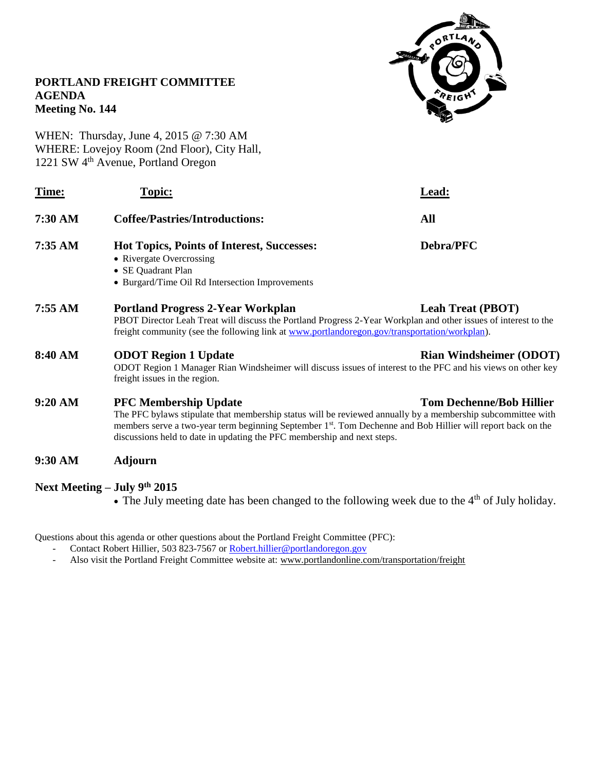

# **PORTLAND FREIGHT COMMITTEE AGENDA Meeting No. 144**

WHEN: Thursday, June 4, 2015 @ 7:30 AM WHERE: Lovejoy Room (2nd Floor), City Hall, 1221 SW 4th Avenue, Portland Oregon

| Time:                        | Topic:                                                                                                                                                                                                                                                                                                                                                                                | Lead:                          |
|------------------------------|---------------------------------------------------------------------------------------------------------------------------------------------------------------------------------------------------------------------------------------------------------------------------------------------------------------------------------------------------------------------------------------|--------------------------------|
| 7:30 AM                      | <b>Coffee/Pastries/Introductions:</b>                                                                                                                                                                                                                                                                                                                                                 | All                            |
| 7:35 AM                      | <b>Hot Topics, Points of Interest, Successes:</b><br>• Rivergate Overcrossing<br>• SE Quadrant Plan<br>• Burgard/Time Oil Rd Intersection Improvements                                                                                                                                                                                                                                | Debra/PFC                      |
| 7:55 AM                      | <b>Portland Progress 2-Year Workplan</b><br><b>Leah Treat (PBOT)</b><br>PBOT Director Leah Treat will discuss the Portland Progress 2-Year Workplan and other issues of interest to the<br>freight community (see the following link at www.portlandoregon.gov/transportation/workplan).                                                                                              |                                |
| 8:40 AM                      | <b>ODOT Region 1 Update</b><br>ODOT Region 1 Manager Rian Windsheimer will discuss issues of interest to the PFC and his views on other key<br>freight issues in the region.                                                                                                                                                                                                          | <b>Rian Windsheimer (ODOT)</b> |
| 9:20 AM                      | <b>Tom Dechenne/Bob Hillier</b><br><b>PFC Membership Update</b><br>The PFC bylaws stipulate that membership status will be reviewed annually by a membership subcommittee with<br>members serve a two-year term beginning September 1 <sup>st</sup> . Tom Dechenne and Bob Hillier will report back on the<br>discussions held to date in updating the PFC membership and next steps. |                                |
| 9:30 AM                      | <b>Adjourn</b>                                                                                                                                                                                                                                                                                                                                                                        |                                |
| Next Meeting – July 9th 2015 |                                                                                                                                                                                                                                                                                                                                                                                       |                                |

 $\bullet$  The July meeting date has been changed to the following week due to the 4<sup>th</sup> of July holiday.

Questions about this agenda or other questions about the Portland Freight Committee (PFC):

- Contact Robert Hillier, 503 823-7567 o[r Robert.hillier@portlandoregon.gov](mailto:Robert.hillier@portlandoregon.gov)
- Also visit the Portland Freight Committee website at: [www.portlandonline.com/transportation/freight](http://www.portlandonline.com/transportation/freight)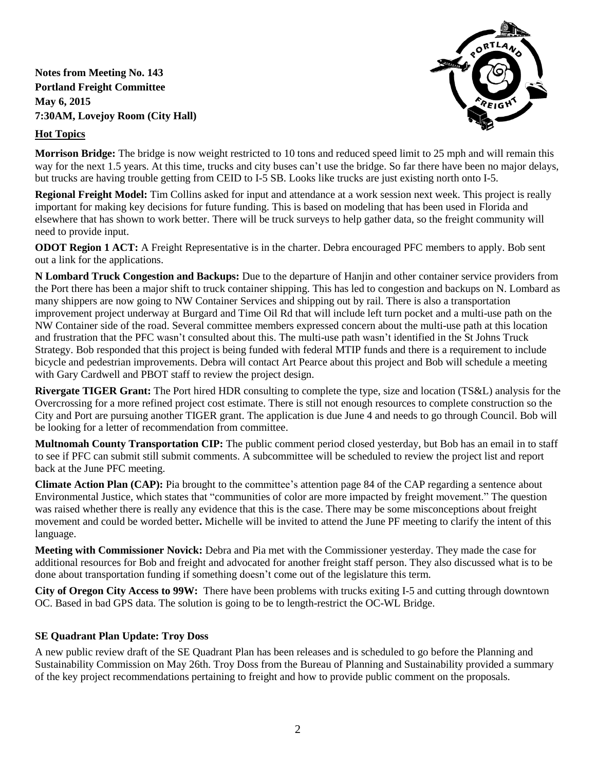**Notes from Meeting No. 143 Portland Freight Committee May 6, 2015 7:30AM, Lovejoy Room (City Hall)**

# **Hot Topics**



**Morrison Bridge:** The bridge is now weight restricted to 10 tons and reduced speed limit to 25 mph and will remain this way for the next 1.5 years. At this time, trucks and city buses can't use the bridge. So far there have been no major delays, but trucks are having trouble getting from CEID to I-5 SB. Looks like trucks are just existing north onto I-5.

**Regional Freight Model:** Tim Collins asked for input and attendance at a work session next week. This project is really important for making key decisions for future funding. This is based on modeling that has been used in Florida and elsewhere that has shown to work better. There will be truck surveys to help gather data, so the freight community will need to provide input.

**ODOT Region 1 ACT:** A Freight Representative is in the charter. Debra encouraged PFC members to apply. Bob sent out a link for the applications.

**N Lombard Truck Congestion and Backups:** Due to the departure of Hanjin and other container service providers from the Port there has been a major shift to truck container shipping. This has led to congestion and backups on N. Lombard as many shippers are now going to NW Container Services and shipping out by rail. There is also a transportation improvement project underway at Burgard and Time Oil Rd that will include left turn pocket and a multi-use path on the NW Container side of the road. Several committee members expressed concern about the multi-use path at this location and frustration that the PFC wasn't consulted about this. The multi-use path wasn't identified in the St Johns Truck Strategy. Bob responded that this project is being funded with federal MTIP funds and there is a requirement to include bicycle and pedestrian improvements. Debra will contact Art Pearce about this project and Bob will schedule a meeting with Gary Cardwell and PBOT staff to review the project design.

**Rivergate TIGER Grant:** The Port hired HDR consulting to complete the type, size and location (TS&L) analysis for the Overcrossing for a more refined project cost estimate. There is still not enough resources to complete construction so the City and Port are pursuing another TIGER grant. The application is due June 4 and needs to go through Council. Bob will be looking for a letter of recommendation from committee.

**Multnomah County Transportation CIP:** The public comment period closed yesterday, but Bob has an email in to staff to see if PFC can submit still submit comments. A subcommittee will be scheduled to review the project list and report back at the June PFC meeting.

**Climate Action Plan (CAP):** Pia brought to the committee's attention page 84 of the CAP regarding a sentence about Environmental Justice, which states that "communities of color are more impacted by freight movement." The question was raised whether there is really any evidence that this is the case. There may be some misconceptions about freight movement and could be worded better**.** Michelle will be invited to attend the June PF meeting to clarify the intent of this language.

**Meeting with Commissioner Novick:** Debra and Pia met with the Commissioner yesterday. They made the case for additional resources for Bob and freight and advocated for another freight staff person. They also discussed what is to be done about transportation funding if something doesn't come out of the legislature this term.

**City of Oregon City Access to 99W:** There have been problems with trucks exiting I-5 and cutting through downtown OC. Based in bad GPS data. The solution is going to be to length-restrict the OC-WL Bridge.

## **SE Quadrant Plan Update: Troy Doss**

A new public review draft of the SE Quadrant Plan has been releases and is scheduled to go before the Planning and Sustainability Commission on May 26th. Troy Doss from the Bureau of Planning and Sustainability provided a summary of the key project recommendations pertaining to freight and how to provide public comment on the proposals.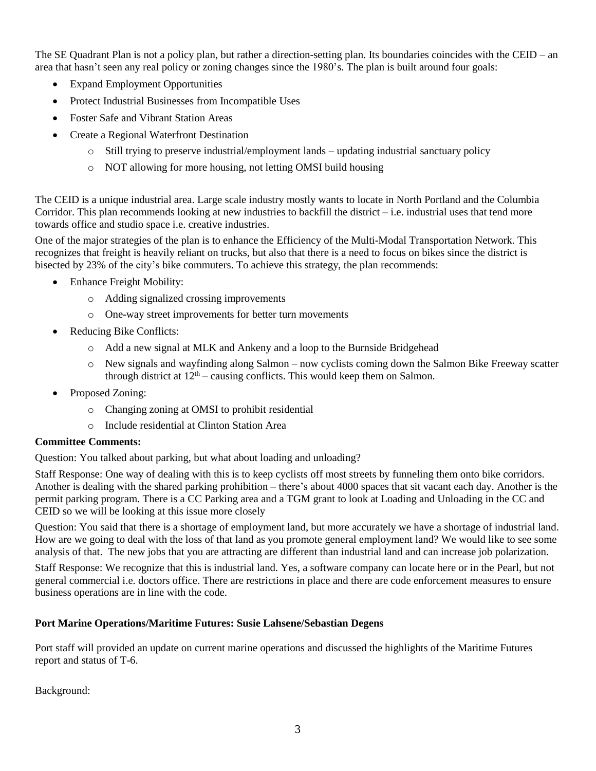The SE Quadrant Plan is not a policy plan, but rather a direction-setting plan. Its boundaries coincides with the CEID – an area that hasn't seen any real policy or zoning changes since the 1980's. The plan is built around four goals:

- Expand Employment Opportunities
- Protect Industrial Businesses from Incompatible Uses
- Foster Safe and Vibrant Station Areas
- Create a Regional Waterfront Destination
	- o Still trying to preserve industrial/employment lands updating industrial sanctuary policy
	- o NOT allowing for more housing, not letting OMSI build housing

The CEID is a unique industrial area. Large scale industry mostly wants to locate in North Portland and the Columbia Corridor. This plan recommends looking at new industries to backfill the district  $-i.e.$  industrial uses that tend more towards office and studio space i.e. creative industries.

One of the major strategies of the plan is to enhance the Efficiency of the Multi-Modal Transportation Network. This recognizes that freight is heavily reliant on trucks, but also that there is a need to focus on bikes since the district is bisected by 23% of the city's bike commuters. To achieve this strategy, the plan recommends:

- Enhance Freight Mobility:
	- o Adding signalized crossing improvements
	- o One-way street improvements for better turn movements
- Reducing Bike Conflicts:
	- o Add a new signal at MLK and Ankeny and a loop to the Burnside Bridgehead
	- o New signals and wayfinding along Salmon now cyclists coming down the Salmon Bike Freeway scatter through district at  $12<sup>th</sup>$  – causing conflicts. This would keep them on Salmon.
- Proposed Zoning:
	- o Changing zoning at OMSI to prohibit residential
	- o Include residential at Clinton Station Area

#### **Committee Comments:**

Question: You talked about parking, but what about loading and unloading?

Staff Response: One way of dealing with this is to keep cyclists off most streets by funneling them onto bike corridors. Another is dealing with the shared parking prohibition – there's about 4000 spaces that sit vacant each day. Another is the permit parking program. There is a CC Parking area and a TGM grant to look at Loading and Unloading in the CC and CEID so we will be looking at this issue more closely

Question: You said that there is a shortage of employment land, but more accurately we have a shortage of industrial land. How are we going to deal with the loss of that land as you promote general employment land? We would like to see some analysis of that. The new jobs that you are attracting are different than industrial land and can increase job polarization.

Staff Response: We recognize that this is industrial land. Yes, a software company can locate here or in the Pearl, but not general commercial i.e. doctors office. There are restrictions in place and there are code enforcement measures to ensure business operations are in line with the code.

## **Port Marine Operations/Maritime Futures: Susie Lahsene/Sebastian Degens**

Port staff will provided an update on current marine operations and discussed the highlights of the Maritime Futures report and status of T-6.

Background: